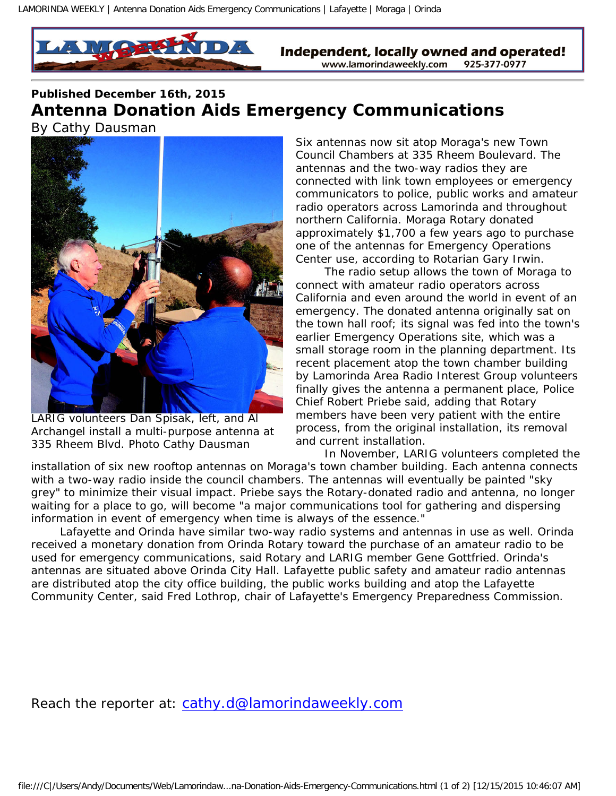

Independent, locally owned and operated! www.lamorindaweekly.com 925-377-0977

## **Published December 16th, 2015 Antenna Donation Aids Emergency Communications**  *By Cathy Dausman*



LARIG volunteers Dan Spisak, left, and Al Archangel install a multi-purpose antenna at 335 Rheem Blvd. Photo Cathy Dausman

Six antennas now sit atop Moraga's new Town Council Chambers at 335 Rheem Boulevard. The antennas and the two-way radios they are connected with link town employees or emergency communicators to police, public works and amateur radio operators across Lamorinda and throughout northern California. Moraga Rotary donated approximately \$1,700 a few years ago to purchase one of the antennas for Emergency Operations Center use, according to Rotarian Gary Irwin.

 The radio setup allows the town of Moraga to connect with amateur radio operators across California and even around the world in event of an emergency. The donated antenna originally sat on the town hall roof; its signal was fed into the town's earlier Emergency Operations site, which was a small storage room in the planning department. Its recent placement atop the town chamber building by Lamorinda Area Radio Interest Group volunteers finally gives the antenna a permanent place, Police Chief Robert Priebe said, adding that Rotary members have been very patient with the entire process, from the original installation, its removal and current installation.

 In November, LARIG volunteers completed the installation of six new rooftop antennas on Moraga's town chamber building. Each antenna connects with a two-way radio inside the council chambers. The antennas will eventually be painted "sky grey" to minimize their visual impact. Priebe says the Rotary-donated radio and antenna, no longer waiting for a place to go, will become "a major communications tool for gathering and dispersing information in event of emergency when time is always of the essence."

 Lafayette and Orinda have similar two-way radio systems and antennas in use as well. Orinda received a monetary donation from Orinda Rotary toward the purchase of an amateur radio to be used for emergency communications, said Rotary and LARIG member Gene Gottfried. Orinda's antennas are situated above Orinda City Hall. Lafayette public safety and amateur radio antennas are distributed atop the city office building, the public works building and atop the Lafayette Community Center, said Fred Lothrop, chair of Lafayette's Emergency Preparedness Commission.

Reach the reporter at: [cathy.d@lamorindaweekly.com](mailto:cathy.d@lamorindaweekly.com)